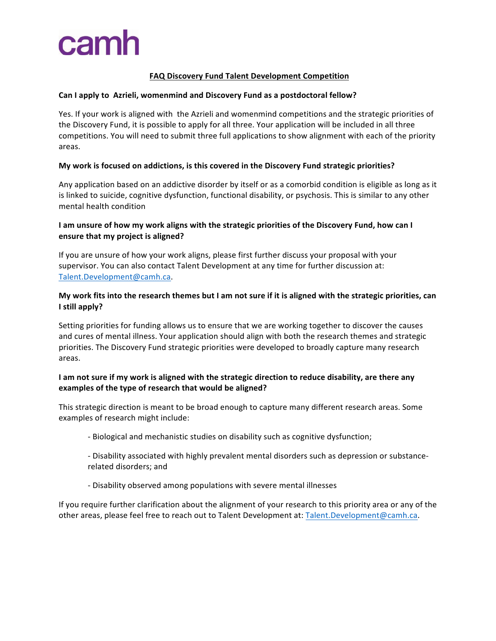# camh

# **FAQ Discovery Fund Talent Development Competition**

#### Can I apply to Azrieli, womenmind and Discovery Fund as a postdoctoral fellow?

Yes. If your work is aligned with the Azrieli and womenmind competitions and the strategic priorities of the Discovery Fund, it is possible to apply for all three. Your application will be included in all three competitions. You will need to submit three full applications to show alignment with each of the priority areas. 

#### My work is focused on addictions, is this covered in the Discovery Fund strategic priorities?

Any application based on an addictive disorder by itself or as a comorbid condition is eligible as long as it is linked to suicide, cognitive dysfunction, functional disability, or psychosis. This is similar to any other mental health condition

# I am unsure of how my work aligns with the strategic priorities of the Discovery Fund, how can I **ensure that my project is aligned?**

If you are unsure of how your work aligns, please first further discuss your proposal with your supervisor. You can also contact Talent Development at any time for further discussion at: Talent.Development@camh.ca. 

# My work fits into the research themes but I am not sure if it is aligned with the strategic priorities, can **I** still apply?

Setting priorities for funding allows us to ensure that we are working together to discover the causes and cures of mental illness. Your application should align with both the research themes and strategic priorities. The Discovery Fund strategic priorities were developed to broadly capture many research areas. 

# I am not sure if my work is aligned with the strategic direction to reduce disability, are there any examples of the type of research that would be aligned?

This strategic direction is meant to be broad enough to capture many different research areas. Some examples of research might include:

- Biological and mechanistic studies on disability such as cognitive dysfunction;
- Disability associated with highly prevalent mental disorders such as depression or substancerelated disorders; and
- Disability observed among populations with severe mental illnesses

If you require further clarification about the alignment of your research to this priority area or any of the other areas, please feel free to reach out to Talent Development at: Talent.Development@camh.ca.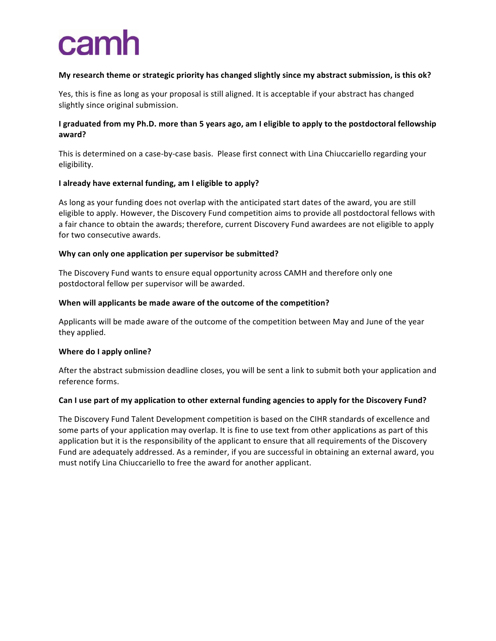# camh

# My research theme or strategic priority has changed slightly since my abstract submission, is this ok?

Yes, this is fine as long as your proposal is still aligned. It is acceptable if your abstract has changed slightly since original submission.

# **I** graduated from my Ph.D. more than 5 years ago, am I eligible to apply to the postdoctoral fellowship **award?**

This is determined on a case-by-case basis. Please first connect with Lina Chiuccariello regarding your eligibility. 

#### **I** already have external funding, am I eligible to apply?

As long as your funding does not overlap with the anticipated start dates of the award, you are still eligible to apply. However, the Discovery Fund competition aims to provide all postdoctoral fellows with a fair chance to obtain the awards; therefore, current Discovery Fund awardees are not eligible to apply for two consecutive awards.

#### Why can only one application per supervisor be submitted?

The Discovery Fund wants to ensure equal opportunity across CAMH and therefore only one postdoctoral fellow per supervisor will be awarded.

#### When will applicants be made aware of the outcome of the competition?

Applicants will be made aware of the outcome of the competition between May and June of the year they applied. 

#### **Where do I apply online?**

After the abstract submission deadline closes, you will be sent a link to submit both your application and reference forms.

#### Can I use part of my application to other external funding agencies to apply for the Discovery Fund?

The Discovery Fund Talent Development competition is based on the CIHR standards of excellence and some parts of your application may overlap. It is fine to use text from other applications as part of this application but it is the responsibility of the applicant to ensure that all requirements of the Discovery Fund are adequately addressed. As a reminder, if you are successful in obtaining an external award, you must notify Lina Chiuccariello to free the award for another applicant.